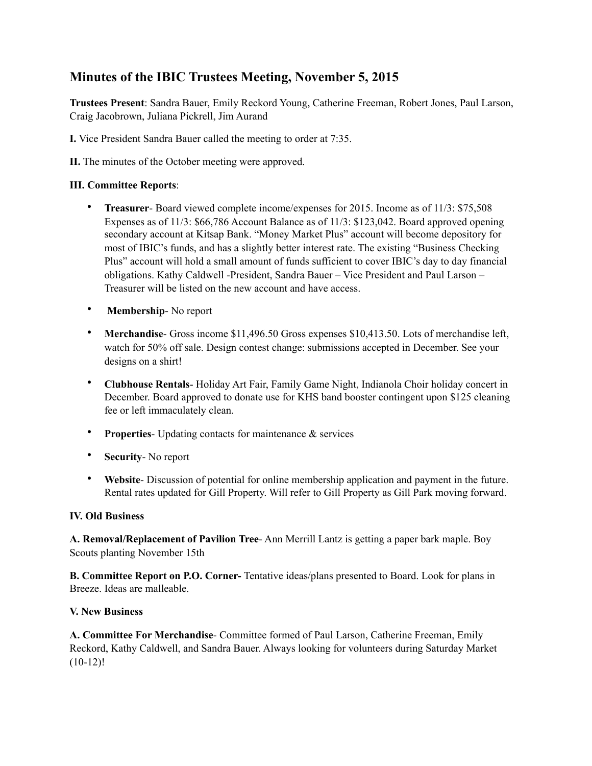# **Minutes of the IBIC Trustees Meeting, November 5, 2015**

**Trustees Present**: Sandra Bauer, Emily Reckord Young, Catherine Freeman, Robert Jones, Paul Larson, Craig Jacobrown, Juliana Pickrell, Jim Aurand

**I.** Vice President Sandra Bauer called the meeting to order at 7:35.

**II.** The minutes of the October meeting were approved.

## **III. Committee Reports**:

- **Treasurer** Board viewed complete income/expenses for 2015. Income as of 11/3: \$75,508 Expenses as of 11/3: \$66,786 Account Balance as of 11/3: \$123,042. Board approved opening secondary account at Kitsap Bank. "Money Market Plus" account will become depository for most of IBIC's funds, and has a slightly better interest rate. The existing "Business Checking Plus" account will hold a small amount of funds sufficient to cover IBIC's day to day financial obligations. Kathy Caldwell -President, Sandra Bauer – Vice President and Paul Larson – Treasurer will be listed on the new account and have access.
- **Membership** No report
- **Merchandise** Gross income \$11,496.50 Gross expenses \$10,413.50. Lots of merchandise left, watch for 50% off sale. Design contest change: submissions accepted in December. See your designs on a shirt!
- **Clubhouse Rentals** Holiday Art Fair, Family Game Night, Indianola Choir holiday concert in December. Board approved to donate use for KHS band booster contingent upon \$125 cleaning fee or left immaculately clean.
- **Properties** Updating contacts for maintenance & services
- **Security** No report
- **Website** Discussion of potential for online membership application and payment in the future. Rental rates updated for Gill Property. Will refer to Gill Property as Gill Park moving forward.

### **IV. Old Business**

**A. Removal/Replacement of Pavilion Tree**- Ann Merrill Lantz is getting a paper bark maple. Boy Scouts planting November 15th

**B. Committee Report on P.O. Corner-** Tentative ideas/plans presented to Board. Look for plans in Breeze. Ideas are malleable.

### **V. New Business**

**A. Committee For Merchandise**- Committee formed of Paul Larson, Catherine Freeman, Emily Reckord, Kathy Caldwell, and Sandra Bauer. Always looking for volunteers during Saturday Market  $(10-12)!$